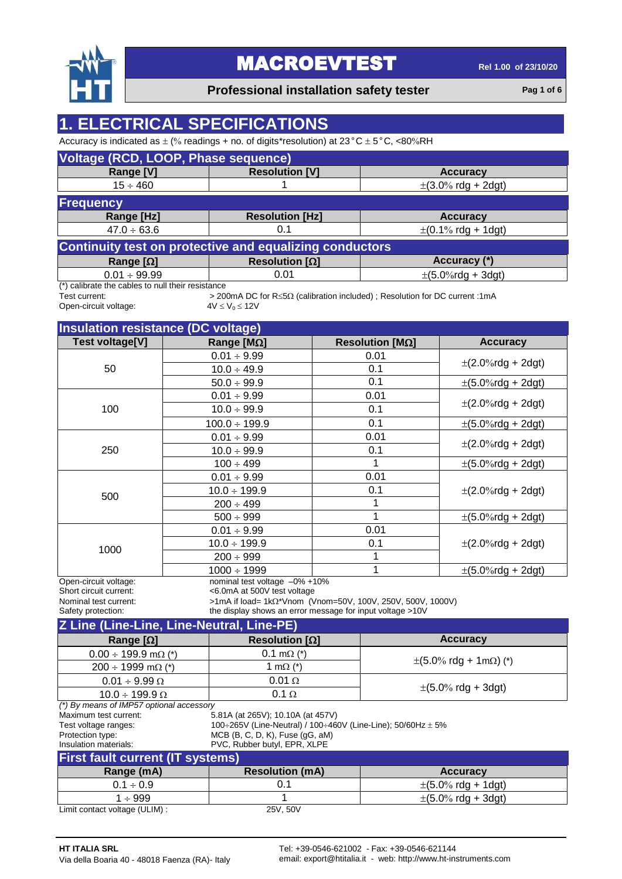

### **Professional installation safety tester Pag 1** of 6

### **1. ELECTRICAL SPECIFICATIONS**

Accuracy is indicated as  $\pm$  (% readings + no. of digits\*resolution) at 23°C  $\pm$  5°C, <80%RH

| Voltage (RCD, LOOP, Phase sequence)                 |                                                         |                                          |  |  |  |  |  |  |  |
|-----------------------------------------------------|---------------------------------------------------------|------------------------------------------|--|--|--|--|--|--|--|
| Range [V]                                           | <b>Resolution [V]</b>                                   | <b>Accuracy</b>                          |  |  |  |  |  |  |  |
| $15 \div 460$                                       |                                                         | $\pm (3.0\% \text{ rdg} + 2 \text{dg}t)$ |  |  |  |  |  |  |  |
| <b>Frequency</b>                                    |                                                         |                                          |  |  |  |  |  |  |  |
| Range [Hz]                                          | <b>Resolution [Hz]</b>                                  | <b>Accuracy</b>                          |  |  |  |  |  |  |  |
| $47.0 \div 63.6$                                    | 0.1                                                     | $\pm (0.1\% \text{ rdg} + 1 \text{dg}t)$ |  |  |  |  |  |  |  |
|                                                     | Continuity test on protective and equalizing conductors |                                          |  |  |  |  |  |  |  |
| Range $[\Omega]$                                    | Resolution $\Omega$ ]                                   | Accuracy (*)                             |  |  |  |  |  |  |  |
| $0.01 \div 99.99$                                   | 0.01                                                    | $\pm (5.0\%$ rdg + 3dgt)                 |  |  |  |  |  |  |  |
| $(*)$ colibrate the cobles to pull their resistance |                                                         |                                          |  |  |  |  |  |  |  |

(\*) calibrate the cables to null their resistance<br>Test current:  $>20$ 

Open-circuit voltage:

> 200mA DC for R≤5Ω (calibration included) ; Resolution for DC current :1mA  $4V$  ≤  $V_0$  ≤ 12V

|                                                                          | Insulation resistance (DC voltage)                               |                                                            |                                         |
|--------------------------------------------------------------------------|------------------------------------------------------------------|------------------------------------------------------------|-----------------------------------------|
| Test voltage[V]                                                          | Range [ $M\Omega$ ]                                              | Resolution [MΩ]                                            | <b>Accuracy</b>                         |
|                                                                          | $0.01 \div 9.99$                                                 | 0.01                                                       |                                         |
| 50                                                                       | $10.0 \div 49.9$                                                 | 0.1                                                        | $\pm (2.0\% \text{rdg} + 2 \text{dgt})$ |
|                                                                          | $50.0 \div 99.9$                                                 | 0.1                                                        | $\pm (5.0\%$ rdg + 2dgt)                |
|                                                                          | $0.01 \div 9.99$                                                 | 0.01                                                       |                                         |
| 100                                                                      | $10.0 \div 99.9$                                                 | 0.1                                                        | $\pm (2.0\% \text{rdg} + 2 \text{dgt})$ |
|                                                                          | $100.0 \div 199.9$                                               | 0.1                                                        | $\pm (5.0\%$ rdg + 2dgt)                |
|                                                                          | $0.01 \div 9.99$                                                 | 0.01                                                       |                                         |
| 250                                                                      | $10.0 \div 99.9$                                                 | 0.1                                                        | $\pm (2.0\% \text{rdg} + 2 \text{dgt})$ |
|                                                                          | $100 \div 499$                                                   | 1                                                          | $\pm (5.0\% \text{rdg} + 2 \text{dgt})$ |
|                                                                          | $0.01 \div 9.99$                                                 | 0.01                                                       |                                         |
| 500                                                                      | $10.0 \div 199.9$                                                | 0.1                                                        | $\pm (2.0\%$ rdg + 2dgt)                |
|                                                                          | $200 \div 499$                                                   | 1                                                          |                                         |
|                                                                          | $500 \div 999$                                                   | 1                                                          | $\pm (5.0\%$ rdg + 2dgt)                |
|                                                                          | $0.01 \div 9.99$                                                 | 0.01                                                       |                                         |
| 1000                                                                     | $10.0 \div 199.9$                                                | 0.1                                                        | $\pm (2.0\%$ rdg + 2dgt)                |
|                                                                          | $200 \div 999$                                                   | 1                                                          |                                         |
|                                                                          | $1000 \div 1999$                                                 | 1                                                          | $\pm (5.0\% \text{rdg} + 2 \text{dgt})$ |
| Open-circuit voltage:<br>Short circuit current:<br>Nominal test current: | nominal test voltage $-0\% +10\%$<br><6.0mA at 500V test voltage | >1mA if load= 1kΩ*Vnom (Vnom=50V, 100V, 250V, 500V, 1000V) |                                         |

Safety protection: the display shows an error message for input voltage >10V

| Z Line (Line-Line, Line-Neutral, Line-PE)                               |                                                                  |                                                  |  |  |  |  |  |  |
|-------------------------------------------------------------------------|------------------------------------------------------------------|--------------------------------------------------|--|--|--|--|--|--|
| Range $[\Omega]$                                                        | Resolution $[\Omega]$                                            | <b>Accuracy</b>                                  |  |  |  |  |  |  |
| $0.00 \div 199.9$ m $\Omega$ (*)                                        | 0.1 m $\Omega$ (*)                                               |                                                  |  |  |  |  |  |  |
| $200 \div 1999$ m $\Omega$ (*)                                          | 1 m $\Omega$ (*)                                                 | $\pm (5.0\% \text{ rdg} + 1 \text{m}\Omega)$ (*) |  |  |  |  |  |  |
| $0.01 \div 9.99 \Omega$                                                 | $0.01 \Omega$                                                    |                                                  |  |  |  |  |  |  |
| $10.0 \div 199.9 \Omega$                                                | $\pm (5.0\% \text{ rdg} + 3 \text{dg}t)$<br>$0.1 \Omega$         |                                                  |  |  |  |  |  |  |
| (*) By means of IMP57 optional accessory                                |                                                                  |                                                  |  |  |  |  |  |  |
| Maximum test current:                                                   | 5.81A (at 265V); 10.10A (at 457V)                                |                                                  |  |  |  |  |  |  |
| Test voltage ranges:                                                    | 100÷265V (Line-Neutral) / 100÷460V (Line-Line); 50/60Hz $\pm$ 5% |                                                  |  |  |  |  |  |  |
| Protection type:                                                        | MCB (B, C, D, K), Fuse (gG, aM)                                  |                                                  |  |  |  |  |  |  |
| Insulation materials:                                                   | PVC, Rubber butyl, EPR, XLPE                                     |                                                  |  |  |  |  |  |  |
| <b>First fault current (IT systems)</b>                                 |                                                                  |                                                  |  |  |  |  |  |  |
| Range (mA)                                                              | <b>Resolution (mA)</b>                                           | <b>Accuracy</b>                                  |  |  |  |  |  |  |
| $0.1 \div 0.9$                                                          | 0.1<br>$\pm (5.0\% \text{ rdg} + 1 \text{dg}t)$                  |                                                  |  |  |  |  |  |  |
| $1 \div 999$                                                            | $\pm (5.0\% \text{ rdg} + 3 \text{dg}t)$                         |                                                  |  |  |  |  |  |  |
| $\mathbf{1}$ that the contract contract of $\mathbf{A}$ is $\mathbf{A}$ | $C1 C2 C1$                                                       |                                                  |  |  |  |  |  |  |

Limit contact voltage (ULIM) : 25V, 50V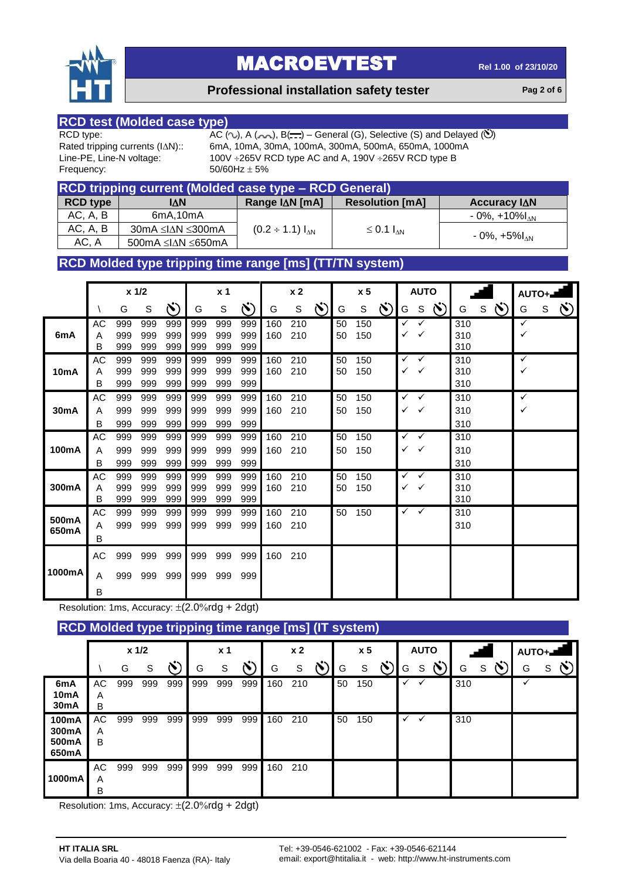

#### **Professional installation safety tester Pag 2** of 6

# **RCD test (Molded case type)**

Frequency:  $50/60$ Hz  $\pm$  5%

RCD type:  $AC (\sim)$ , A ( $\sim$ ), B( $\cdot$ ) – General (G), Selective (S) and Delayed ( $\bullet$ )<br>Rated tripping currents ( $\vert \Delta N$ ):: 6mA, 10mA, 30mA, 100mA, 300mA, 500mA, 650mA, 1000mA Rated tripping currents (IAN):: 6mA, 10mA, 30mA, 100mA, 300mA, 500mA, 650mA, 1000mA<br>Line-PE, Line-N voltage: 100V ÷265V RCD type AC and A, 190V ÷265V RCD type B 100V  $\div$ 265V RCD type AC and A, 190V  $\div$ 265V RCD type B

|                 | RCD tripping current (Molded case type - RCD General) |                         |                        |                                |  |  |  |  |  |  |  |
|-----------------|-------------------------------------------------------|-------------------------|------------------------|--------------------------------|--|--|--|--|--|--|--|
| <b>RCD type</b> | I∆N                                                   | Range I∆N [mA]          | <b>Resolution [mA]</b> | Accuracy $IAN$                 |  |  |  |  |  |  |  |
| AC, A, B        | 6mA,10mA                                              |                         |                        | $-0\%$ , $+10\%$ <sub>AN</sub> |  |  |  |  |  |  |  |
| AC, A, B        | $30mA \leq \Delta N \leq 300mA$                       | $(0.2 \div 1.1) I_{AN}$ | $\leq$ 0.1 $I_{AN}$    |                                |  |  |  |  |  |  |  |
| AC, A           | 500mA ≤I∆N ≤650mA                                     |                         |                        | $-0\%$ , +5% $I_{\Lambda N}$   |  |  |  |  |  |  |  |

#### **RCD Molded type tripping time range [ms] (TT/TN system)**

|                   |               |                   | $x$ 1/2           |                   |                   | x <sub>1</sub>    |                   |            | x <sub>2</sub> |               |          | x <sub>5</sub> |               |              | <b>AUTO</b>       |          |                   |              |   | $AUTO +$ |  |
|-------------------|---------------|-------------------|-------------------|-------------------|-------------------|-------------------|-------------------|------------|----------------|---------------|----------|----------------|---------------|--------------|-------------------|----------|-------------------|--------------|---|----------|--|
|                   |               | G                 | $\mathsf{S}$      | $\mathbf{N}$      | G                 | S                 | $\mathcal{N}$     | G          | S              | $\mathcal{N}$ | G        | S              | $\mathcal{N}$ | G            | S                 | $\infty$ | G                 | $S(\lambda)$ | G | S        |  |
| 6mA               | AC<br>A<br>В  | 999<br>999<br>999 | 999<br>999<br>999 | 999<br>999<br>999 | 999<br>999<br>999 | 999<br>999<br>999 | 999<br>999<br>999 | 160<br>160 | 210<br>210     |               | 50<br>50 | 150<br>150     |               | $\checkmark$ | ✓                 |          | 310<br>310<br>310 |              | ✓ |          |  |
| 10 <sub>m</sub> A | AC<br>A<br>B  | 999<br>999<br>999 | 999<br>999<br>999 | 999<br>999<br>999 | 999<br>999<br>999 | 999<br>999<br>999 | 999<br>999<br>999 | 160<br>160 | 210<br>210     |               | 50<br>50 | 150<br>150     |               | $\checkmark$ | $\checkmark$      |          | 310<br>310<br>310 |              | ✓ |          |  |
| <b>30mA</b>       | AC<br>Α<br>B  | 999<br>999<br>999 | 999<br>999<br>999 | 999<br>999<br>999 | 999<br>999<br>999 | 999<br>999<br>999 | 999<br>999<br>999 | 160<br>160 | 210<br>210     |               | 50<br>50 | 150<br>150     |               | $\checkmark$ | $\checkmark$<br>✓ |          | 310<br>310<br>310 |              | ✓ |          |  |
| 100mA             | AC<br>Α<br>В  | 999<br>999<br>999 | 999<br>999<br>999 | 999<br>999<br>999 | 999<br>999<br>999 | 999<br>999<br>999 | 999<br>999<br>999 | 160<br>160 | 210<br>210     |               | 50<br>50 | 150<br>150     |               | ✓<br>✓       | $\checkmark$<br>✓ |          | 310<br>310<br>310 |              |   |          |  |
| 300mA             | AC<br>A<br>B  | 999<br>999<br>999 | 999<br>999<br>999 | 999<br>999<br>999 | 999<br>999<br>999 | 999<br>999<br>999 | 999<br>999<br>999 | 160<br>160 | 210<br>210     |               | 50<br>50 | 150<br>150     |               | $\checkmark$ | $\checkmark$      |          | 310<br>310<br>310 |              |   |          |  |
| 500mA<br>650mA    | AC<br>A<br>B  | 999<br>999        | 999<br>999        | 999<br>999        | 999<br>999        | 999<br>999        | 999<br>999        | 160<br>160 | 210<br>210     |               | 50       | 150            |               | $\checkmark$ | $\checkmark$      |          | 310<br>310        |              |   |          |  |
| 1000mA            | AC.<br>A<br>B | 999<br>999        | 999<br>999        | 999<br>999        | 999<br>999        | 999<br>999        | 999<br>999        | 160        | 210            |               |          |                |               |              |                   |          |                   |              |   |          |  |

Resolution: 1ms, Accuracy:  $\pm (2.0\% \text{rdg} + 2 \text{dgt})$ 

#### **RCD Molded type tripping time range [ms] (IT system)**

|                                               |              |     | $x$ 1/2 |     |     | x <sub>1</sub> |     |     | x <sub>2</sub> |               |    | x <sub>5</sub> |    |              | <b>AUTO</b> |        |     |   | AUTO+ |   |  |
|-----------------------------------------------|--------------|-----|---------|-----|-----|----------------|-----|-----|----------------|---------------|----|----------------|----|--------------|-------------|--------|-----|---|-------|---|--|
|                                               |              | G   | S       |     | G   | S              | べ   | G   | S              | $\ddot{\sim}$ | G  | S              | N. | G            | S           | $\sim$ | G   | S | G     | S |  |
| 6mA<br>10 <sub>m</sub> A<br>30 <sub>m</sub> A | AC<br>Α<br>B | 999 | 999     | 999 | 999 | 999            | 999 | 160 | 210            |               | 50 | 150            |    | ✓            |             |        | 310 |   | ✓     |   |  |
| 100mA<br>300mA<br>500mA<br>650mA              | AC<br>A<br>B | 999 | 999     | 999 | 999 | 999            | 999 | 160 | 210            |               | 50 | 150            |    | $\checkmark$ |             |        | 310 |   |       |   |  |
| 1000mA                                        | AC<br>Α<br>В | 999 | 999     | 999 | 999 | 999            | 999 | 160 | 210            |               |    |                |    |              |             |        |     |   |       |   |  |

Resolution: 1ms, Accuracy:  $\pm$ (2.0%rdg + 2dgt)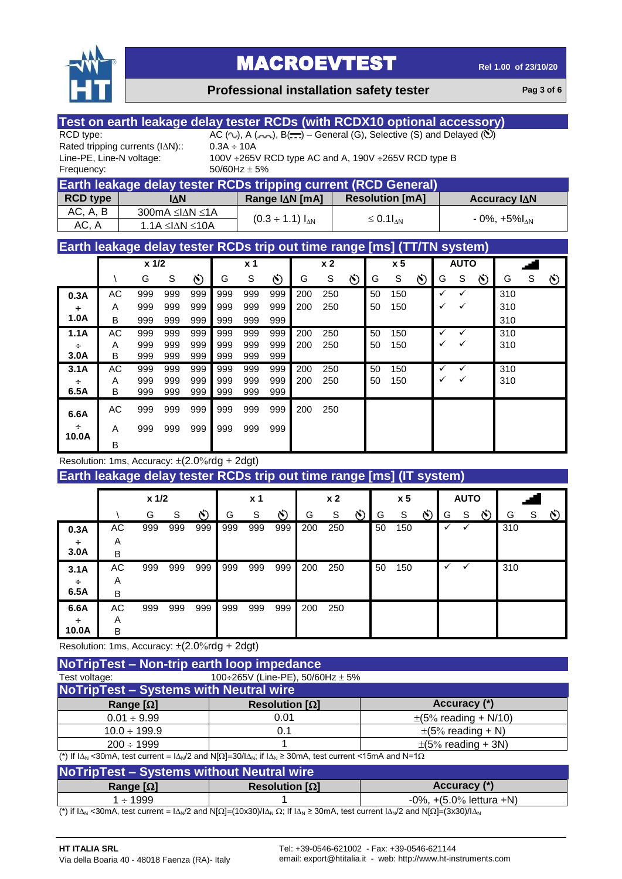

#### **Professional installation safety tester Pag 3** of 6

| Test on earth leakage delay tester RCDs (with RCDX10 optional accessory)<br>RCD type: |             |            |                            |                               |                 | AC $(\sim)$ , A $(\sim)$ , B $(\cdot\cdot\cdot)$ – General (G), Selective (S) and Delayed ( $\bullet$ ) |                               |                |                |                |                        |                        |                |              |              |                |                                      |   |                |
|---------------------------------------------------------------------------------------|-------------|------------|----------------------------|-------------------------------|-----------------|---------------------------------------------------------------------------------------------------------|-------------------------------|----------------|----------------|----------------|------------------------|------------------------|----------------|--------------|--------------|----------------|--------------------------------------|---|----------------|
| Rated tripping currents (IAN)::                                                       |             |            |                            |                               | $0.3A \div 10A$ |                                                                                                         |                               |                |                |                |                        |                        |                |              |              |                |                                      |   |                |
| Line-PE, Line-N voltage:                                                              |             |            |                            |                               |                 | 100V ÷265V RCD type AC and A, 190V ÷265V RCD type B                                                     |                               |                |                |                |                        |                        |                |              |              |                |                                      |   |                |
| Frequency:                                                                            |             |            |                            |                               |                 | 50/60Hz $\pm$ 5%                                                                                        |                               |                |                |                |                        |                        |                |              |              |                |                                      |   |                |
| Earth leakage delay tester RCDs tripping current (RCD General)                        |             |            |                            |                               |                 |                                                                                                         |                               |                |                |                |                        |                        |                |              |              |                |                                      |   |                |
| <b>RCD type</b>                                                                       |             |            | <b>IAN</b>                 |                               |                 |                                                                                                         |                               | Range IAN [mA] |                |                |                        | <b>Resolution [mA]</b> |                |              |              |                | Accuracy IAN                         |   |                |
| AC, A, B                                                                              |             |            |                            | 300mA ≤I∆N ≤1A                |                 |                                                                                                         | $(0.3 \div 1.1) I_{\Delta N}$ |                |                |                | $\leq 0.1I_{\Delta N}$ |                        |                |              |              |                | $-0\%$ , $+5\%$ <sub><i>NN</i></sub> |   |                |
| AC, A                                                                                 |             |            |                            | $1.1A \leq \Delta N \leq 10A$ |                 |                                                                                                         |                               |                |                |                |                        |                        |                |              |              |                |                                      |   |                |
| Earth leakage delay tester RCDs trip out time range [ms] (TT/TN system)               |             |            |                            |                               |                 |                                                                                                         |                               |                |                |                |                        |                        |                |              |              |                |                                      |   |                |
|                                                                                       |             | x 1/2      |                            |                               |                 | $x_1$                                                                                                   |                               |                | x <sub>2</sub> |                |                        | x <sub>5</sub>         |                |              | <b>AUTO</b>  |                |                                      |   |                |
|                                                                                       | $\setminus$ | G          | $\mathbb S$                | $\ddot{\circ}$                | G               | $\mathbb S$                                                                                             | $\ddot{\circ}$                | G              | S              | Ö              | G                      | $\mathbf S$            | $\ddot{\circ}$ | G            | $\mathsf S$  | $\infty$       | G                                    | S |                |
|                                                                                       |             |            |                            |                               |                 |                                                                                                         |                               | 200            |                |                | 50                     |                        |                | $\checkmark$ | ✓            |                |                                      |   | $\infty$       |
| 0.3A                                                                                  | АC<br>Α     | 999<br>999 | 999<br>999                 | 999<br>999                    | 999<br>999      | 999<br>999                                                                                              | 999<br>999                    | 200            | 250<br>250     |                | 50                     | 150<br>150             |                | ✓            | ✓            |                | 310<br>310                           |   |                |
| ÷<br>1.0A                                                                             | B           | 999        | 999                        | 999                           | 999             | 999                                                                                                     | 999                           |                |                |                |                        |                        |                |              |              |                | 310                                  |   |                |
| 1.1A                                                                                  | <b>AC</b>   | 999        | 999                        | 999                           | 999             | 999                                                                                                     | 999                           | 200            | 250            |                | 50                     | 150                    |                | ✓            | $\checkmark$ |                | 310                                  |   |                |
| $\div$                                                                                | A           | 999        | 999                        | 999                           | 999             | 999                                                                                                     | 999                           | 200            | 250            |                | 50                     | 150                    |                | ✓            | ✓            |                | 310                                  |   |                |
| 3.0A                                                                                  | В           | 999        | 999                        | 999                           | 999             | 999                                                                                                     | 999                           |                |                |                |                        |                        |                |              |              |                |                                      |   |                |
| 3.1A                                                                                  | АC          | 999        | 999                        | 999                           | 999             | 999                                                                                                     | 999                           | 200            | 250            |                | 50                     | 150                    |                | ✓            | ✓            |                | 310                                  |   |                |
| ÷<br>6.5A                                                                             | A<br>В      | 999<br>999 | 999<br>999                 | 999<br>999                    | 999<br>999      | 999<br>999                                                                                              | 999<br>999                    | 200            | 250            |                | 50                     | 150                    |                | ✓            | ✓            |                | 310                                  |   |                |
|                                                                                       |             |            |                            |                               |                 |                                                                                                         |                               |                |                |                |                        |                        |                |              |              |                |                                      |   |                |
| 6.6A                                                                                  | AC          | 999        | 999                        | 999                           | 999             | 999                                                                                                     | 999                           | 200            | 250            |                |                        |                        |                |              |              |                |                                      |   |                |
| ÷                                                                                     | Α           | 999        | 999                        | 999                           | 999             | 999                                                                                                     | 999                           |                |                |                |                        |                        |                |              |              |                |                                      |   |                |
| 10.0A                                                                                 | B           |            |                            |                               |                 |                                                                                                         |                               |                |                |                |                        |                        |                |              |              |                |                                      |   |                |
| Resolution: 1ms, Accuracy: $\pm$ (2.0%rdg + 2dgt)                                     |             |            |                            |                               |                 |                                                                                                         |                               |                |                |                |                        |                        |                |              |              |                |                                      |   |                |
| Earth leakage delay tester RCDs trip out time range [ms] (IT system)                  |             |            |                            |                               |                 |                                                                                                         |                               |                |                |                |                        |                        |                |              |              |                |                                      |   |                |
|                                                                                       |             |            |                            |                               |                 |                                                                                                         |                               |                |                |                |                        |                        |                |              |              |                |                                      |   |                |
|                                                                                       |             | $x$ 1/2    |                            |                               |                 | x <sub>1</sub>                                                                                          |                               |                | x <sub>2</sub> |                |                        | x <sub>5</sub>         |                |              | <b>AUTO</b>  |                |                                      |   |                |
|                                                                                       |             | G          | S                          | Ö)                            | G               | $\mathsf S$                                                                                             | Ö)                            | G              | $\mathbb S$    | $\ddot{\circ}$ | G                      | $\mathbb S$            | $\infty$       | G            | S            | $\ddot{\circ}$ | G                                    | S | $\ddot{\circ}$ |
| 0.3A                                                                                  | <b>AC</b>   | 999        | 999                        | 999                           | 999             | 999                                                                                                     | 999                           | 200            | 250            |                | 50                     | 150                    |                |              | ✓            |                | 310                                  |   |                |
| $\div$<br>3.0A                                                                        | Α           |            |                            |                               |                 |                                                                                                         |                               |                |                |                |                        |                        |                |              |              |                |                                      |   |                |
|                                                                                       | B           |            |                            |                               |                 |                                                                                                         |                               |                |                |                |                        |                        |                | $\checkmark$ | ✓            |                |                                      |   |                |
| 3.1A                                                                                  | <b>AC</b>   | 999        | 999                        | 999                           | 999             | 999                                                                                                     | 999                           | 200            | 250            |                | 50                     | 150                    |                |              |              |                | 310                                  |   |                |
| ÷<br>6.5A                                                                             | A<br>B      |            |                            |                               |                 |                                                                                                         |                               |                |                |                |                        |                        |                |              |              |                |                                      |   |                |
| 6.6A                                                                                  | AC          | 999        | 999                        | 999                           | 999             | 999                                                                                                     | 999                           | 200            | 250            |                |                        |                        |                |              |              |                |                                      |   |                |
| ÷                                                                                     | Α           |            |                            |                               |                 |                                                                                                         |                               |                |                |                |                        |                        |                |              |              |                |                                      |   |                |
| 10.0A                                                                                 | B           |            |                            |                               |                 |                                                                                                         |                               |                |                |                |                        |                        |                |              |              |                |                                      |   |                |
| Resolution: 1ms, Accuracy: $\pm$ (2.0%rdg + 2dgt)                                     |             |            |                            |                               |                 |                                                                                                         |                               |                |                |                |                        |                        |                |              |              |                |                                      |   |                |
| <b>MATHERTANA</b>                                                                     |             |            | <b>Maria Autor America</b> |                               |                 |                                                                                                         |                               |                |                |                |                        |                        |                |              |              |                |                                      |   |                |

**NoTripTest – Non-trip earth loop impedance** Test voltage:  $100 \div 265V$  (Line-PE),  $50/60Hz \pm 5%$ **NoTripTest – Systems with Neutral wire Range [] Resolution [] Accuracy (\*)**  $0.01 \div 9.99$  0.01  $\pm (5\% \text{ reading } + \text{ N/10})$  $10.0 \div 199.9$  0.1  $\pm (5\% \text{ reading } + \text{ N})$  $200 \div 1999$  1 1  $\pm (5\% \text{ reading } + 3\text{N})$ 

(\*) If  $I\Delta_N$  <30mA, test current =  $I\Delta_N/2$  and N[ $\Omega$ ]=30/ $I\Delta_N$ ; if  $I\Delta_N \ge 30$ mA, test current <15mA and N=1 $\Omega$ 

| <b>NoTripTest - Systems without Neutral wire</b> |                       |                                   |  |  |  |  |  |  |  |
|--------------------------------------------------|-----------------------|-----------------------------------|--|--|--|--|--|--|--|
| Range $\Omega$                                   | Resolution $[\Omega]$ | Accuracy (*)                      |  |  |  |  |  |  |  |
| 1 ÷ 1999                                         |                       | $-0\%$ , $+(5.0\%$ lettura $+N$ ) |  |  |  |  |  |  |  |

(\*) if  $1\Delta_N$  <30mA, test current =  $1\Delta_N/2$  and N[ $\Omega$ ]=(10x30)/ $1\Delta_N \Omega$ ; If  $1\Delta_N \ge 30$ mA, test current  $1\Delta_N/2$  and N[ $\Omega$ ]=(3x30)/ $1\Delta_N$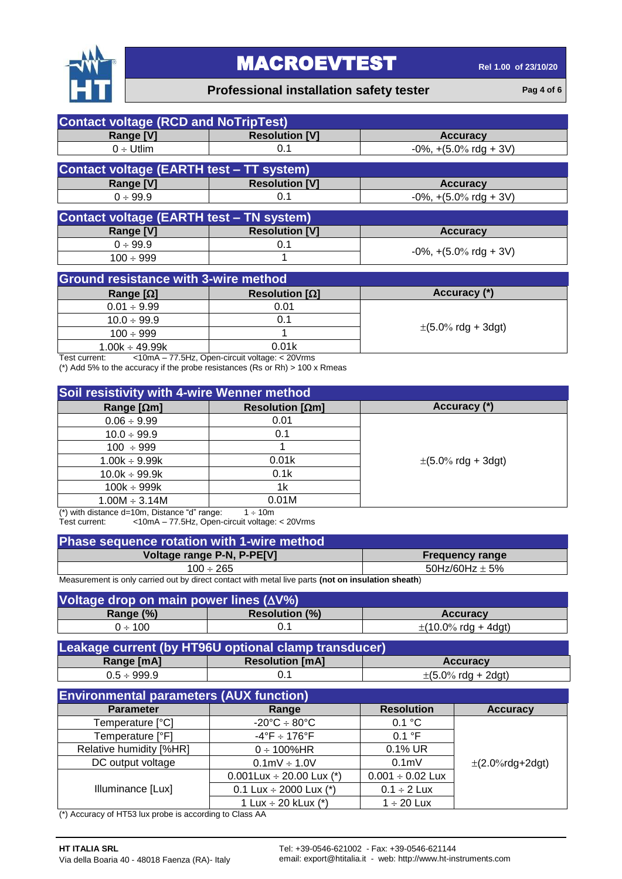

#### **Professional installation safety tester Pag 4** of 6

| <b>Contact voltage (RCD and NoTripTest)</b>     |                       |                                             |  |  |  |  |  |
|-------------------------------------------------|-----------------------|---------------------------------------------|--|--|--|--|--|
| Range [V]                                       | <b>Resolution [V]</b> | <b>Accuracy</b>                             |  |  |  |  |  |
| $0 \div \text{Utlim}$                           | 0.1                   | $-0\%$ , $+(5.0\% \text{ rdg} + 3\text{V})$ |  |  |  |  |  |
| <b>Contact voltage (EARTH test - TT system)</b> |                       |                                             |  |  |  |  |  |
| Range [V]                                       | <b>Resolution [V]</b> | <b>Accuracy</b>                             |  |  |  |  |  |
| $0 \div 99.9$                                   | 0.1                   | $-0\%$ , $+(5.0\% \text{ rdg} + 3\text{V})$ |  |  |  |  |  |
| <b>Contact voltage (EARTH test - TN system)</b> |                       |                                             |  |  |  |  |  |
| Range [V]                                       | <b>Resolution [V]</b> | <b>Accuracy</b>                             |  |  |  |  |  |
| 0 ÷ 99.9                                        | 0.1                   |                                             |  |  |  |  |  |
| $100 \div 999$                                  |                       | $-0\%$ , $+(5.0\% \text{ rdg} + 3\text{V})$ |  |  |  |  |  |
| <b>Ground resistance with 3-wire method</b>     |                       |                                             |  |  |  |  |  |
| Range $[\Omega]$                                | Resolution $[\Omega]$ | Accuracy (*)                                |  |  |  |  |  |
| $0.01 \div 9.99$                                | 0.01                  |                                             |  |  |  |  |  |
| $10.0 \div 99.9$                                | 0.1                   |                                             |  |  |  |  |  |
| $100 \div 999$                                  |                       | $\pm (5.0\% \text{ rdg} + 3 \text{dg}t)$    |  |  |  |  |  |

 $1.00k \div 49.99k$  0.01k Test current: <10mA – 77.5Hz, Open-circuit voltage: < 20Vrms

(\*) Add 5% to the accuracy if the probe resistances (Rs or Rh) > 100 x Rmeas

| Soil resistivity with 4-wire Wenner method |                          |                                          |
|--------------------------------------------|--------------------------|------------------------------------------|
| Range $[\Omega m]$                         | Resolution [ $\Omega$ m] | Accuracy (*)                             |
| $0.06 \div 9.99$                           | 0.01                     |                                          |
| $10.0 \div 99.9$                           | 0.1                      |                                          |
| $100 \div 999$                             |                          |                                          |
| $1.00k \div 9.99k$                         | 0.01k                    | $\pm (5.0\% \text{ rdg} + 3 \text{dg}t)$ |
| $10.0k \div 99.9k$                         | 0.1k                     |                                          |
| $100k \div 999k$                           | 1k                       |                                          |
| $1.00M \div 3.14M$                         | 0.01M                    |                                          |

(\*) with distance d=10m, Distance "d" range:  $1 \div 10$ m<br>Test current:  $\angle 10 \text{ mA} - 77.5$ Hz, Open-circuit voltage:

 $<$  10mA – 77.5Hz, Open-circuit voltage:  $<$  20Vrms

| <b>Phase sequence rotation with 1-wire method</b> |                        |
|---------------------------------------------------|------------------------|
| Voltage range P-N, P-PE[V]                        | <b>Frequency range</b> |
| $100 \div 265$                                    | 50Hz/60Hz $\pm$ 5%     |

Measurement is only carried out by direct contact with metal live parts **(not on insulation sheath**)

|           | Voltage drop on main power lines $(\Delta V\%)$ |                          |  |  |  |  |  |  |  |  |  |
|-----------|-------------------------------------------------|--------------------------|--|--|--|--|--|--|--|--|--|
| Range (%) | <b>Resolution (%)</b><br><b>Accuracy</b>        |                          |  |  |  |  |  |  |  |  |  |
| 0 ÷ 100   |                                                 | $\pm$ (10.0% rdg + 4dgt) |  |  |  |  |  |  |  |  |  |

| Leakage current (by HT96U optional clamp transducer) |                        |                                          |  |
|------------------------------------------------------|------------------------|------------------------------------------|--|
| Range [mA]                                           | <b>Resolution [mA]</b> | <b>Accuracy</b>                          |  |
| $0.5 \div 999.9$                                     |                        | $\pm (5.0\% \text{ rda} + 2 \text{dat})$ |  |

| <b>Environmental parameters (AUX function)</b> |                                        |                       |                      |  |
|------------------------------------------------|----------------------------------------|-----------------------|----------------------|--|
| <b>Parameter</b>                               | Range                                  | <b>Resolution</b>     | <b>Accuracy</b>      |  |
| Temperature [°C]                               | $-20^{\circ}$ C $\div$ 80 $^{\circ}$ C | 0.1 °C                |                      |  |
| Temperature [°F]                               | $-4^{\circ}$ F ÷ 176 $^{\circ}$ F      | 0.1 °F                |                      |  |
| Relative humidity [%HR]                        | $0 \div 100\%$ HR                      | 0.1% UR               |                      |  |
| DC output voltage                              | $0.1 \text{mV} \div 1.0 \text{V}$      | 0.1 <sub>m</sub>      | $\pm$ (2.0%rdg+2dgt) |  |
|                                                | 0.001Lux $\div$ 20.00 Lux (*)          | $0.001 \div 0.02$ Lux |                      |  |
| Illuminance [Lux]                              | 0.1 Lux $\div$ 2000 Lux (*)            | $0.1 \div 2$ Lux      |                      |  |
|                                                | 1 Lux $\div$ 20 kLux (*)               | $1 \div 20$ Lux       |                      |  |

(\*) Accuracy of HT53 lux probe is according to Class AA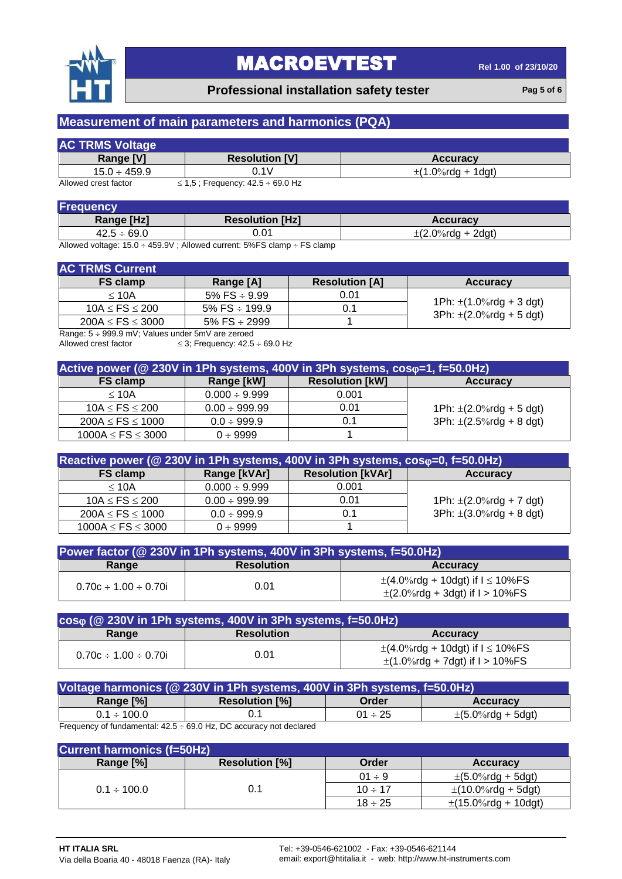

#### **Professional installation safety tester Pag 5** of 6

### **Measurement of main parameters and harmonics (PQA)**

| <b>AC TRMS Voltage</b>             |                                |                        |
|------------------------------------|--------------------------------|------------------------|
| Range [V]                          | <b>Resolution [V]</b>          | <b>Accuracy</b>        |
| $15.0 \div 459.9$                  |                                | $\pm$ (1.0%rda + 1dat) |
| All access the second for a trans- | $24.5.5$ $\ldots$ $10.5.00011$ |                        |

Allowed crest factor  $\leq 1.5$ ; Frequency:  $42.5 \div 69.0$  Hz

| <b>Frequency</b> |                        |                        |
|------------------|------------------------|------------------------|
| Range [Hz]       | <b>Resolution [Hz]</b> | <b>Accuracy</b>        |
| $42.5 \div 69.0$ | 01.01                  | $\pm$ (2.0%rdg + 2dgt) |

Allowed voltage:  $15.0 \div 459.9V$ ; Allowed current:  $5\%$ FS clamp  $\div$  FS clamp

#### **AC TRMS Current**

| AV TIMO VAII GIIL      |                       |                       |                              |
|------------------------|-----------------------|-----------------------|------------------------------|
| <b>FS clamp</b>        | Range [A]             | <b>Resolution [A]</b> | <b>Accuracy</b>              |
| < 10A                  | 5% FS $\div$ 9.99     | 0.01                  |                              |
| $10A \le FS \le 200$   | $5\%$ FS $\div$ 199.9 | 0.1                   | 1Ph: $\pm$ (1.0%rdg + 3 dgt) |
| $200A \le FS \le 3000$ | 5% FS $\div$ 2999     |                       | 3Ph: $\pm$ (2.0%rdg + 5 dgt) |
|                        |                       |                       |                              |

Range:  $5 \div 999.9$  mV; Values under 5mV are zeroed<br>Allowed crest factor  $\leq 3$ ; Frequency: 42.5

 $\leq$  3; Frequency: 42.5  $\div$  69.0 Hz

| Active power (@ 230V in 1Ph systems, 400V in 3Ph systems, coso=1, f=50.0Hz) |                    |                        |                              |
|-----------------------------------------------------------------------------|--------------------|------------------------|------------------------------|
| <b>FS clamp</b>                                                             | Range [kW]         | <b>Resolution [kW]</b> | Accuracy                     |
| < 10A                                                                       | $0.000 \div 9.999$ | 0.001                  |                              |
| $10A \le FS \le 200$                                                        | $0.00 \div 999.99$ | 0.01                   | 1Ph: $\pm$ (2.0%rdg + 5 dgt) |
| $200A \le FS \le 1000$                                                      | $0.0 \div 999.9$   | 0.1                    | 3Ph: $\pm$ (2.5%rdg + 8 dgt) |
| $1000A \le FS \le 3000$                                                     | $0 \div 9999$      |                        |                              |

| Reactive power (@ 230V in 1Ph systems, 400V in 3Ph systems, coso=0, f=50.0Hz) |                    |                          |                              |
|-------------------------------------------------------------------------------|--------------------|--------------------------|------------------------------|
| <b>FS clamp</b>                                                               | Range [kVAr]       | <b>Resolution [kVAr]</b> | <b>Accuracy</b>              |
| < 10A                                                                         | $0.000 \div 9.999$ | 0.001                    |                              |
| $10A \le FS \le 200$                                                          | $0.00 \div 999.99$ | 0.01                     | 1Ph: $\pm$ (2.0%rdg + 7 dgt) |
| $200A \le FS \le 1000$                                                        | $0.0 \div 999.9$   | 0.1                      | 3Ph: $\pm$ (3.0%rdg + 8 dgt) |
| $1000A \le FS \le 3000$                                                       | $0 \div 9999$      |                          |                              |

| Power factor (@ 230V in 1Ph systems, 400V in 3Ph systems, f=50.0Hz) |                   |                                                                                  |
|---------------------------------------------------------------------|-------------------|----------------------------------------------------------------------------------|
| Range                                                               | <b>Resolution</b> | <b>Accuracy</b>                                                                  |
| $0.70c \div 1.00 \div 0.70i$                                        | 0.01              | $\pm$ (4.0%rdg + 10dgt) if I $\leq$ 10%FS<br>$\pm$ (2.0%rdg + 3dgt) if I > 10%FS |

| $cos\varphi$ ( $\oslash$ 230V in 1Ph systems, 400V in 3Ph systems, f=50.0Hz) |                   |                                                                                   |  |
|------------------------------------------------------------------------------|-------------------|-----------------------------------------------------------------------------------|--|
| Range                                                                        | <b>Resolution</b> | <b>Accuracy</b>                                                                   |  |
| $0.70c \div 1.00 \div 0.70i$                                                 | 0.01              | $\pm$ (4.0%rdg + 10dgt) if $I \le 10\%$ FS<br>$\pm$ (1.0%rdg + 7dgt) if I > 10%FS |  |

| Voltage harmonics (@ 230V in 1Ph systems, 400V in 3Ph systems, f=50.0Hz) |                       |              |                        |
|--------------------------------------------------------------------------|-----------------------|--------------|------------------------|
| Range [%]                                                                | <b>Resolution [%]</b> | Order        | <b>Accuracy</b>        |
| $0.1 \div 100.0$                                                         |                       | $01 \div 25$ | $\pm$ (5.0%rdg + 5dgt) |

Frequency of fundamental:  $42.5 \div 69.0$  Hz, DC accuracy not declared

| <b>Current harmonics (f=50Hz)</b> |                       |              |                                          |
|-----------------------------------|-----------------------|--------------|------------------------------------------|
| Range [%]                         | <b>Resolution [%]</b> | Order        | <b>Accuracy</b>                          |
|                                   |                       | $01 \div 9$  | $\pm$ (5.0%rdg + 5dgt)                   |
| $0.1 \div 100.0$                  | 0.1                   | $10 \div 17$ | $\pm$ (10.0%rdg + 5dgt)                  |
|                                   |                       | $18 \div 25$ | $\pm(15.0\% \text{rdg} + 10 \text{dgt})$ |